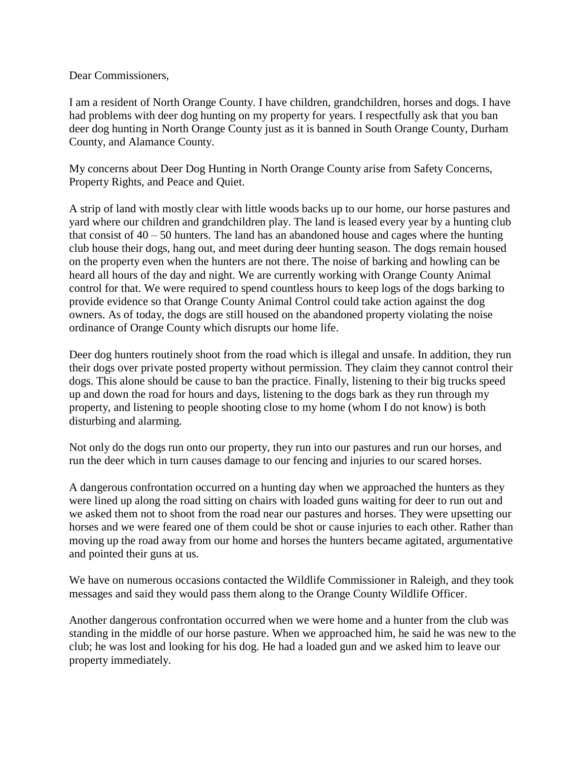Dear Commissioners,

I am a resident of North Orange County. I have children, grandchildren, horses and dogs. I have had problems with deer dog hunting on my property for years. I respectfully ask that you ban deer dog hunting in North Orange County just as it is banned in South Orange County, Durham County, and Alamance County.

My concerns about Deer Dog Hunting in North Orange County arise from Safety Concerns, Property Rights, and Peace and Quiet.

A strip of land with mostly clear with little woods backs up to our home, our horse pastures and yard where our children and grandchildren play. The land is leased every year by a hunting club that consist of  $40 - 50$  hunters. The land has an abandoned house and cages where the hunting club house their dogs, hang out, and meet during deer hunting season. The dogs remain housed on the property even when the hunters are not there. The noise of barking and howling can be heard all hours of the day and night. We are currently working with Orange County Animal control for that. We were required to spend countless hours to keep logs of the dogs barking to provide evidence so that Orange County Animal Control could take action against the dog owners. As of today, the dogs are still housed on the abandoned property violating the noise ordinance of Orange County which disrupts our home life.

Deer dog hunters routinely shoot from the road which is illegal and unsafe. In addition, they run their dogs over private posted property without permission. They claim they cannot control their dogs. This alone should be cause to ban the practice. Finally, listening to their big trucks speed up and down the road for hours and days, listening to the dogs bark as they run through my property, and listening to people shooting close to my home (whom I do not know) is both disturbing and alarming.

Not only do the dogs run onto our property, they run into our pastures and run our horses, and run the deer which in turn causes damage to our fencing and injuries to our scared horses.

A dangerous confrontation occurred on a hunting day when we approached the hunters as they were lined up along the road sitting on chairs with loaded guns waiting for deer to run out and we asked them not to shoot from the road near our pastures and horses. They were upsetting our horses and we were feared one of them could be shot or cause injuries to each other. Rather than moving up the road away from our home and horses the hunters became agitated, argumentative and pointed their guns at us.

We have on numerous occasions contacted the Wildlife Commissioner in Raleigh, and they took messages and said they would pass them along to the Orange County Wildlife Officer.

Another dangerous confrontation occurred when we were home and a hunter from the club was standing in the middle of our horse pasture. When we approached him, he said he was new to the club; he was lost and looking for his dog. He had a loaded gun and we asked him to leave our property immediately.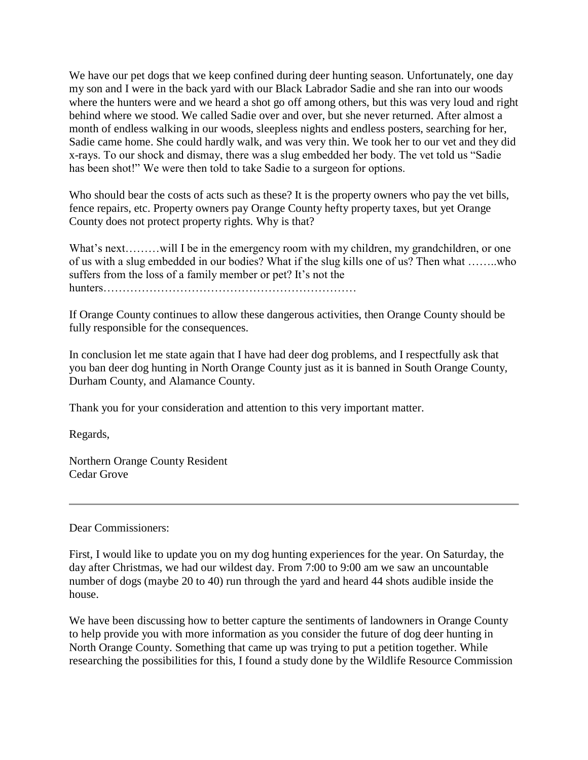We have our pet dogs that we keep confined during deer hunting season. Unfortunately, one day my son and I were in the back yard with our Black Labrador Sadie and she ran into our woods where the hunters were and we heard a shot go off among others, but this was very loud and right behind where we stood. We called Sadie over and over, but she never returned. After almost a month of endless walking in our woods, sleepless nights and endless posters, searching for her, Sadie came home. She could hardly walk, and was very thin. We took her to our vet and they did x-rays. To our shock and dismay, there was a slug embedded her body. The vet told us "Sadie has been shot!" We were then told to take Sadie to a surgeon for options.

Who should bear the costs of acts such as these? It is the property owners who pay the vet bills, fence repairs, etc. Property owners pay Orange County hefty property taxes, but yet Orange County does not protect property rights. Why is that?

What's next………will I be in the emergency room with my children, my grandchildren, or one of us with a slug embedded in our bodies? What if the slug kills one of us? Then what ……..who suffers from the loss of a family member or pet? It's not the hunters…………………………………………………………

If Orange County continues to allow these dangerous activities, then Orange County should be fully responsible for the consequences.

In conclusion let me state again that I have had deer dog problems, and I respectfully ask that you ban deer dog hunting in North Orange County just as it is banned in South Orange County, Durham County, and Alamance County.

Thank you for your consideration and attention to this very important matter.

Regards,

Northern Orange County Resident Cedar Grove

Dear Commissioners:

First, I would like to update you on my dog hunting experiences for the year. On Saturday, the day after Christmas, we had our wildest day. From 7:00 to 9:00 am we saw an uncountable number of dogs (maybe 20 to 40) run through the yard and heard 44 shots audible inside the house.

We have been discussing how to better capture the sentiments of landowners in Orange County to help provide you with more information as you consider the future of dog deer hunting in North Orange County. Something that came up was trying to put a petition together. While researching the possibilities for this, I found a study done by the Wildlife Resource Commission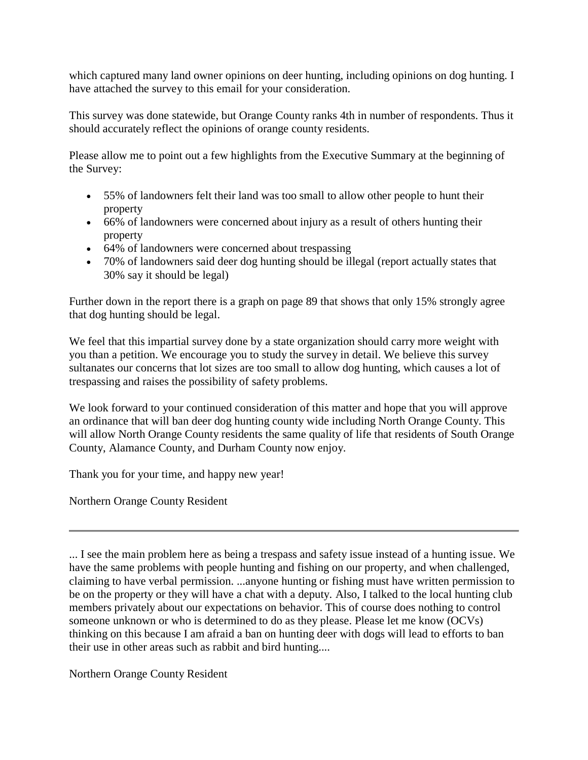which captured many land owner opinions on deer hunting, including opinions on dog hunting. I have attached the survey to this email for your consideration.

This survey was done statewide, but Orange County ranks 4th in number of respondents. Thus it should accurately reflect the opinions of orange county residents.

Please allow me to point out a few highlights from the Executive Summary at the beginning of the Survey:

- 55% of landowners felt their land was too small to allow other people to hunt their property
- 66% of landowners were concerned about injury as a result of others hunting their property
- 64% of landowners were concerned about trespassing
- 70% of landowners said deer dog hunting should be illegal (report actually states that 30% say it should be legal)

Further down in the report there is a graph on page 89 that shows that only 15% strongly agree that dog hunting should be legal.

We feel that this impartial survey done by a state organization should carry more weight with you than a petition. We encourage you to study the survey in detail. We believe this survey sultanates our concerns that lot sizes are too small to allow dog hunting, which causes a lot of trespassing and raises the possibility of safety problems.

We look forward to your continued consideration of this matter and hope that you will approve an ordinance that will ban deer dog hunting county wide including North Orange County. This will allow North Orange County residents the same quality of life that residents of South Orange County, Alamance County, and Durham County now enjoy.

Thank you for your time, and happy new year!

Northern Orange County Resident

... I see the main problem here as being a trespass and safety issue instead of a hunting issue. We have the same problems with people hunting and fishing on our property, and when challenged, claiming to have verbal permission. ...anyone hunting or fishing must have written permission to be on the property or they will have a chat with a deputy. Also, I talked to the local hunting club members privately about our expectations on behavior. This of course does nothing to control someone unknown or who is determined to do as they please. Please let me know (OCVs) thinking on this because I am afraid a ban on hunting deer with dogs will lead to efforts to ban their use in other areas such as rabbit and bird hunting....

Northern Orange County Resident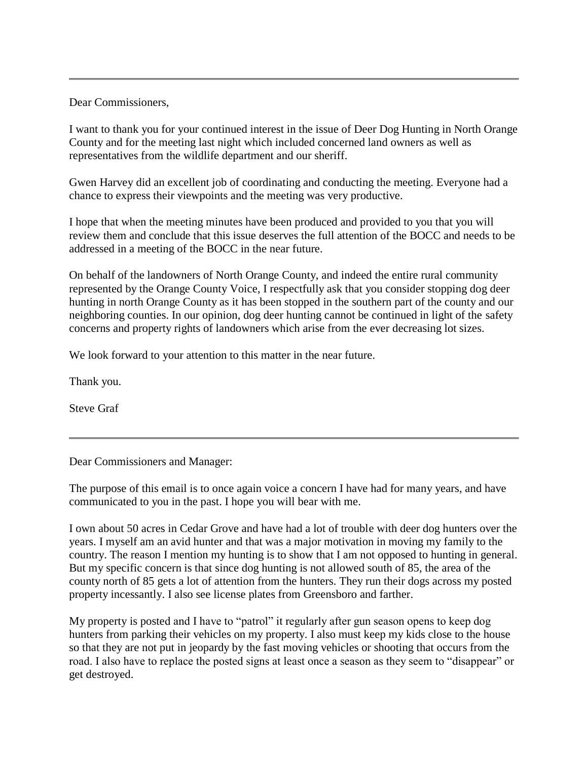Dear Commissioners,

I want to thank you for your continued interest in the issue of Deer Dog Hunting in North Orange County and for the meeting last night which included concerned land owners as well as representatives from the wildlife department and our sheriff.

Gwen Harvey did an excellent job of coordinating and conducting the meeting. Everyone had a chance to express their viewpoints and the meeting was very productive.

I hope that when the meeting minutes have been produced and provided to you that you will review them and conclude that this issue deserves the full attention of the BOCC and needs to be addressed in a meeting of the BOCC in the near future.

On behalf of the landowners of North Orange County, and indeed the entire rural community represented by the Orange County Voice, I respectfully ask that you consider stopping dog deer hunting in north Orange County as it has been stopped in the southern part of the county and our neighboring counties. In our opinion, dog deer hunting cannot be continued in light of the safety concerns and property rights of landowners which arise from the ever decreasing lot sizes.

We look forward to your attention to this matter in the near future.

Thank you.

Steve Graf

Dear Commissioners and Manager:

The purpose of this email is to once again voice a concern I have had for many years, and have communicated to you in the past. I hope you will bear with me.

I own about 50 acres in Cedar Grove and have had a lot of trouble with deer dog hunters over the years. I myself am an avid hunter and that was a major motivation in moving my family to the country. The reason I mention my hunting is to show that I am not opposed to hunting in general. But my specific concern is that since dog hunting is not allowed south of 85, the area of the county north of 85 gets a lot of attention from the hunters. They run their dogs across my posted property incessantly. I also see license plates from Greensboro and farther.

My property is posted and I have to "patrol" it regularly after gun season opens to keep dog hunters from parking their vehicles on my property. I also must keep my kids close to the house so that they are not put in jeopardy by the fast moving vehicles or shooting that occurs from the road. I also have to replace the posted signs at least once a season as they seem to "disappear" or get destroyed.